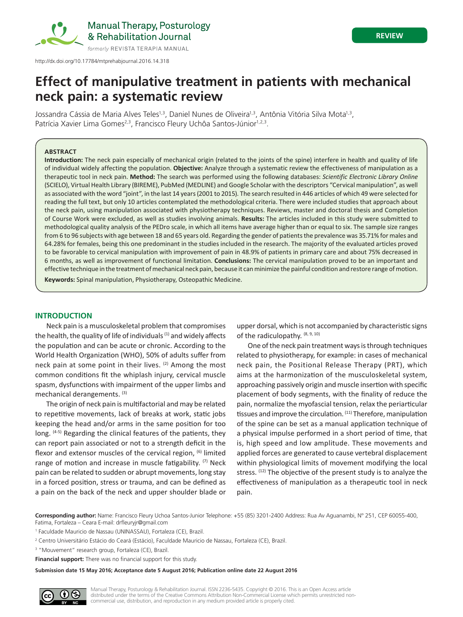

# **REVIEW**

# **Effect of manipulative treatment in patients with mechanical neck pain: a systematic review**

Jossandra Cássia de Maria Alves Teles<sup>1,3</sup>, Daniel Nunes de Oliveira<sup>1,3</sup>, Antônia Vitória Silva Mota<sup>1,3</sup>, Patrícia Xavier Lima Gomes<sup>2,3</sup>, Francisco Fleury Uchôa Santos-Júnior<sup>1,2,3</sup>.

## **ABSTRACT**

**Introduction:** The neck pain especially of mechanical origin (related to the joints of the spine) interfere in health and quality of life of individual widely affecting the population. **Objective:** Analyze through a systematic review the effectiveness of manipulation as a therapeutic tool in neck pain. **Method:** The search was performed using the following databases: *Scientific Electronic Library Online* (SCIELO), Virtual Health Library (BIREME), PubMed (MEDLINE) and Google Scholar with the descriptors "Cervical manipulation", as well as associated with the word "joint", in the last 14 years (2001 to 2015). The search resulted in 446 articles of which 49 were selected for reading the full text, but only 10 articles contemplated the methodological criteria. There were included studies that approach about the neck pain, using manipulation associated with physiotherapy techniques. Reviews, master and doctoral thesis and Completion of Course Work were excluded, as well as studies involving animals. **Results:** The articles included in this study were submitted to methodological quality analysis of the PEDro scale, in which all items have average higher than or equal to six. The sample size ranges from 6 to 96 subjects with age between 18 and 65 years old. Regarding the gender of patients the prevalence was 35.71% for males and 64.28% for females, being this one predominant in the studies included in the research. The majority of the evaluated articles proved to be favorable to cervical manipulation with improvement of pain in 48.9% of patients in primary care and about 75% decreased in 6 months, as well as improvement of functional limitation. **Conclusions:** The cervical manipulation proved to be an important and effective technique in the treatment of mechanical neck pain, because it can minimize the painful condition and restore range of motion.

**Keywords:** Spinal manipulation, Physiotherapy, Osteopathic Medicine.

## **INTRODUCTION**

Neck pain is a musculoskeletal problem that compromises the health, the quality of life of individuals  $(1)$  and widely affects the population and can be acute or chronic. According to the World Health Organization (WHO), 50% of adults suffer from neck pain at some point in their lives.  $(2)$  Among the most common conditions fit the whiplash injury, cervical muscle spasm, dysfunctions with impairment of the upper limbs and mechanical derangements. (3)

The origin of neck pain is multifactorial and may be related to repetitive movements, lack of breaks at work, static jobs keeping the head and/or arms in the same position for too long. (4-5) Regarding the clinical features of the patients, they can report pain associated or not to a strength deficit in the flexor and extensor muscles of the cervical region, <sup>(6)</sup> limited range of motion and increase in muscle fatigability. (7) Neck pain can be related to sudden or abrupt movements, long stay in a forced position, stress or trauma, and can be defined as a pain on the back of the neck and upper shoulder blade or

upper dorsal, which is not accompanied by characteristic signs of the radiculopathy. (8, 9, 10)

One of the neck pain treatment ways is through techniques related to physiotherapy, for example: in cases of mechanical neck pain, the Positional Release Therapy (PRT), which aims at the harmonization of the musculoskeletal system, approaching passively origin and muscle insertion with specific placement of body segments, with the finality of reduce the pain, normalize the myofascial tension, relax the periarticular tissues and improve the circulation. (11) Therefore, manipulation of the spine can be set as a manual application technique of a physical impulse performed in a short period of time, that is, high speed and low amplitude. These movements and applied forces are generated to cause vertebral displacement within physiological limits of movement modifying the local stress. (12) The objective of the present study is to analyze the effectiveness of manipulation as a therapeutic tool in neck pain.

**Corresponding author:** Name: Francisco Fleury Uchoa Santos-Junior Telephone: +55 (85) 3201-2400 Address: Rua Av Aguanambi, N° 251, CEP 60055-400, Fatima, Fortaleza – Ceara E-mail: drfleuryjr@gmail.com

<sup>3</sup> "Mouvement" research group, Fortaleza (CE), Brazil.

**Financial support:** There was no financial support for this study.

**Submission date 15 May 2016; Acceptance date 5 August 2016; Publication online date 22 August 2016**

Manual Therapy, Posturology & Rehabilitation Journal. ISSN 2236-5435. Copyright © 2016. This is an Open Access article distributed under the terms of the Creative Commons Attribution Non-Commercial License which permits unrestricted noncommercial use, distribution, and reproduction in any medium provided article is properly cited.

<sup>1</sup> Faculdade Mauricio de Nassau (UNINASSAU), Fortaleza (CE), Brazil.

<sup>2</sup> Centro Universitário Estácio do Ceará (Estácio), Faculdade Mauricio de Nassau, Fortaleza (CE), Brazil.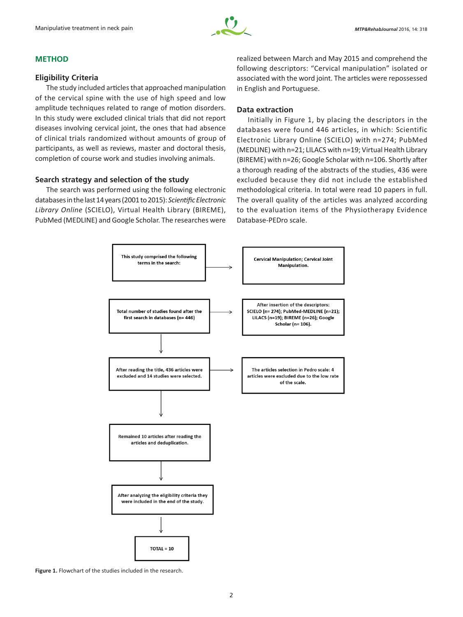

#### **METHOD**

## **Eligibility Criteria**

The study included articles that approached manipulation of the cervical spine with the use of high speed and low amplitude techniques related to range of motion disorders. In this study were excluded clinical trials that did not report diseases involving cervical joint, the ones that had absence of clinical trials randomized without amounts of group of participants, as well as reviews, master and doctoral thesis, completion of course work and studies involving animals.

# **Search strategy and selection of the study**

The search was performed using the following electronic databases in the last 14 years (2001 to 2015): *Scientific Electronic Library Online* (SCIELO), Virtual Health Library (BIREME), PubMed (MEDLINE) and Google Scholar. The researches were

realized between March and May 2015 and comprehend the following descriptors: "Cervical manipulation" isolated or associated with the word joint. The articles were repossessed in English and Portuguese.

# **Data extraction**

Initially in Figure 1, by placing the descriptors in the databases were found 446 articles, in which: Scientific Electronic Library Online (SCIELO) with n=274; PubMed (MEDLINE) with n=21; LILACS with n=19; Virtual Health Library (BIREME) with n=26; Google Scholar with n=106. Shortly after a thorough reading of the abstracts of the studies, 436 were excluded because they did not include the established methodological criteria. In total were read 10 papers in full. The overall quality of the articles was analyzed according to the evaluation items of the Physiotherapy Evidence Database‑PEDro scale.



**Figure 1.** Flowchart of the studies included in the research.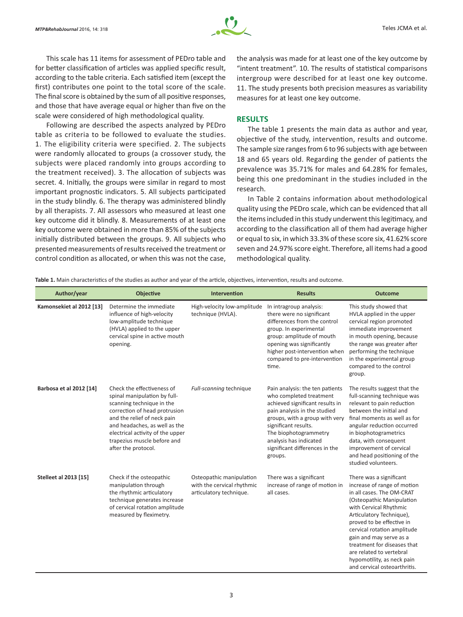

This scale has 11 items for assessment of PEDro table and for better classification of articles was applied specific result, according to the table criteria. Each satisfied item (except the first) contributes one point to the total score of the scale. The final score is obtained by the sum of all positive responses, and those that have average equal or higher than five on the scale were considered of high methodological quality.

Following are described the aspects analyzed by PEDro table as criteria to be followed to evaluate the studies. 1. The eligibility criteria were specified. 2. The subjects were randomly allocated to groups (a crossover study, the subjects were placed randomly into groups according to the treatment received). 3. The allocation of subjects was secret. 4. Initially, the groups were similar in regard to most important prognostic indicators. 5. All subjects participated in the study blindly. 6. The therapy was administered blindly by all therapists. 7. All assessors who measured at least one key outcome did it blindly. 8. Measurements of at least one key outcome were obtained in more than 85% of the subjects initially distributed between the groups. 9. All subjects who presented measurements of results received the treatment or control condition as allocated, or when this was not the case, the analysis was made for at least one of the key outcome by "intent treatment". 10. The results of statistical comparisons intergroup were described for at least one key outcome. 11. The study presents both precision measures as variability measures for at least one key outcome.

#### **RESULTS**

The table 1 presents the main data as author and year, objective of the study, intervention, results and outcome. The sample size ranges from 6 to 96 subjects with age between 18 and 65 years old. Regarding the gender of patients the prevalence was 35.71% for males and 64.28% for females, being this one predominant in the studies included in the research.

In Table 2 contains information about methodological quality using the PEDro scale, which can be evidenced that all the items included in this study underwent this legitimacy, and according to the classification all of them had average higher or equal to six, in which 33.3% of these score six, 41.62% score seven and 24.97% score eight. Therefore, all items had a good methodological quality.

**Table 1.** Main characteristics of the studies as author and year of the article, objectives, intervention, results and outcome.

| Author/year                  | <b>Objective</b>                                                                                                                                                                                                                                                                   | Intervention                                                                      | <b>Results</b>                                                                                                                                                                                                                                                                          | <b>Outcome</b>                                                                                                                                                                                                                                                                                                                                                                         |
|------------------------------|------------------------------------------------------------------------------------------------------------------------------------------------------------------------------------------------------------------------------------------------------------------------------------|-----------------------------------------------------------------------------------|-----------------------------------------------------------------------------------------------------------------------------------------------------------------------------------------------------------------------------------------------------------------------------------------|----------------------------------------------------------------------------------------------------------------------------------------------------------------------------------------------------------------------------------------------------------------------------------------------------------------------------------------------------------------------------------------|
| Kamonsekiet al 2012 [13]     | Determine the immediate<br>influence of high-velocity<br>low-amplitude technique<br>(HVLA) applied to the upper<br>cervical spine in active mouth<br>opening.                                                                                                                      | High-velocity low-amplitude<br>technique (HVLA).                                  | In intragroup analysis:<br>there were no significant<br>differences from the control<br>group. In experimental<br>group: amplitude of mouth<br>opening was significantly<br>higher post-intervention when<br>compared to pre-intervention<br>time.                                      | This study showed that<br>HVLA applied in the upper<br>cervical region promoted<br>immediate improvement<br>in mouth opening, because<br>the range was greater after<br>performing the technique<br>in the experimental group<br>compared to the control<br>group.                                                                                                                     |
| Barbosa et al 2012 [14]      | Check the effectiveness of<br>spinal manipulation by full-<br>scanning technique in the<br>correction of head protrusion<br>and the relief of neck pain<br>and headaches, as well as the<br>electrical activity of the upper<br>trapezius muscle before and<br>after the protocol. | Full-scanning technique                                                           | Pain analysis: the ten patients<br>who completed treatment<br>achieved significant results in<br>pain analysis in the studied<br>groups, with a group with very<br>significant results.<br>The biophotogrammetry<br>analysis has indicated<br>significant differences in the<br>groups. | The results suggest that the<br>full-scanning technique was<br>relevant to pain reduction<br>between the initial and<br>final moments as well as for<br>angular reduction occurred<br>in biophotogrametrics<br>data, with consequent<br>improvement of cervical<br>and head positioning of the<br>studied volunteers.                                                                  |
| <b>Stelleet al 2013 [15]</b> | Check if the osteopathic<br>manipulation through<br>the rhythmic articulatory<br>technique generates increase<br>of cervical rotation amplitude<br>measured by fleximetry.                                                                                                         | Osteopathic manipulation<br>with the cervical rhythmic<br>articulatory technique. | There was a significant<br>increase of range of motion in<br>all cases.                                                                                                                                                                                                                 | There was a significant<br>increase of range of motion<br>in all cases. The OM-CRAT<br>(Osteopathic Manipulation<br>with Cervical Rhythmic<br>Articulatory Technique),<br>proved to be effective in<br>cervical rotation amplitude<br>gain and may serve as a<br>treatment for diseases that<br>are related to vertebral<br>hypomotility, as neck pain<br>and cervical osteoarthritis. |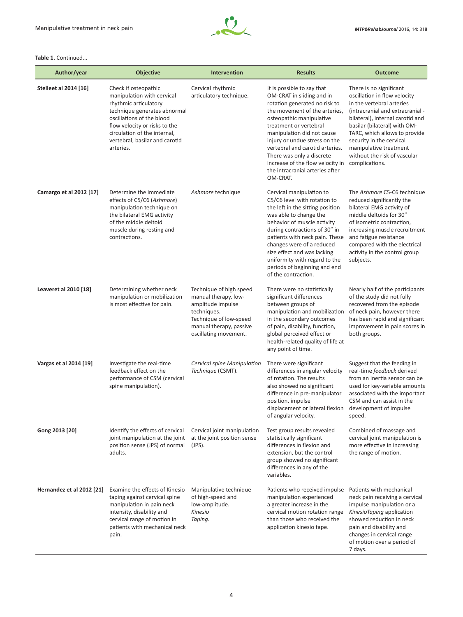

#### **Table 1.** Continued...

| Author/year                  | <b>Objective</b>                                                                                                                                                                                                                                         | Intervention                                                                                                                                                      | <b>Results</b>                                                                                                                                                                                                                                                                                                                                                                                    | <b>Outcome</b>                                                                                                                                                                                                                                                                                                                        |
|------------------------------|----------------------------------------------------------------------------------------------------------------------------------------------------------------------------------------------------------------------------------------------------------|-------------------------------------------------------------------------------------------------------------------------------------------------------------------|---------------------------------------------------------------------------------------------------------------------------------------------------------------------------------------------------------------------------------------------------------------------------------------------------------------------------------------------------------------------------------------------------|---------------------------------------------------------------------------------------------------------------------------------------------------------------------------------------------------------------------------------------------------------------------------------------------------------------------------------------|
| <b>Stelleet al 2014 [16]</b> | Check if osteopathic<br>manipulation with cervical<br>rhythmic articulatory<br>technique generates abnormal<br>oscillations of the blood<br>flow velocity or risks to the<br>circulation of the internal,<br>vertebral, basilar and carotid<br>arteries. | Cervical rhythmic<br>articulatory technique.                                                                                                                      | It is possible to say that<br>OM-CRAT in sliding and in<br>rotation generated no risk to<br>the movement of the arteries,<br>osteopathic manipulative<br>treatment or vertebral<br>manipulation did not cause<br>injury or undue stress on the<br>vertebral and carotid arteries.<br>There was only a discrete<br>increase of the flow velocity in<br>the intracranial arteries after<br>OM-CRAT. | There is no significant<br>oscillation in flow velocity<br>in the vertebral arteries<br>(intracranial and extracranial -<br>bilateral), internal carotid and<br>basilar (bilateral) with OM-<br>TARC, which allows to provide<br>security in the cervical<br>manipulative treatment<br>without the risk of vascular<br>complications. |
| Camargo et al 2012 [17]      | Determine the immediate<br>effects of C5/C6 (Ashmore)<br>manipulation technique on<br>the bilateral EMG activity<br>of the middle deltoid<br>muscle during resting and<br>contractions.                                                                  | Ashmore technique                                                                                                                                                 | Cervical manipulation to<br>C5/C6 level with rotation to<br>the left in the sitting position<br>was able to change the<br>behavior of muscle activity<br>during contractions of 30" in<br>patients with neck pain. These<br>changes were of a reduced<br>size effect and was lacking<br>uniformity with regard to the<br>periods of beginning and end<br>of the contraction.                      | The Ashmore C5-C6 technique<br>reduced significantly the<br>bilateral EMG activity of<br>middle deltoids for 30"<br>of isometric contraction,<br>increasing muscle recruitment<br>and fatigue resistance<br>compared with the electrical<br>activity in the control group<br>subjects.                                                |
| Leaveret al 2010 [18]        | Determining whether neck<br>manipulation or mobilization<br>is most effective for pain.                                                                                                                                                                  | Technique of high speed<br>manual therapy, low-<br>amplitude impulse<br>techniques.<br>Technique of low-speed<br>manual therapy, passive<br>oscillating movement. | There were no statistically<br>significant differences<br>between groups of<br>manipulation and mobilization<br>in the secondary outcomes<br>of pain, disability, function,<br>global perceived effect or<br>health-related quality of life at<br>any point of time.                                                                                                                              | Nearly half of the participants<br>of the study did not fully<br>recovered from the episode<br>of neck pain, however there<br>has been rapid and significant<br>improvement in pain scores in<br>both groups.                                                                                                                         |
| Vargas et al 2014 [19]       | Investigate the real-time<br>feedback effect on the<br>performance of CSM (cervical<br>spine manipulation).                                                                                                                                              | Cervical spine Manipulation<br>Technique (CSMT).                                                                                                                  | There were significant<br>differences in angular velocity<br>of rotation. The results<br>also showed no significant<br>difference in pre-manipulator<br>position, impulse<br>displacement or lateral flexion<br>of angular velocity.                                                                                                                                                              | Suggest that the feeding in<br>real-time feedback derived<br>from an inertia sensor can be<br>used for key-variable amounts<br>associated with the important<br>CSM and can assist in the<br>development of impulse<br>speed.                                                                                                         |
| Gong 2013 [20]               | Identify the effects of cervical<br>joint manipulation at the joint<br>position sense (JPS) of normal<br>adults.                                                                                                                                         | Cervical joint manipulation<br>at the joint position sense<br>$(JPS)$ .                                                                                           | Test group results revealed<br>statistically significant<br>differences in flexion and<br>extension, but the control<br>group showed no significant<br>differences in any of the<br>variables.                                                                                                                                                                                                    | Combined of massage and<br>cervical joint manipulation is<br>more effective in increasing<br>the range of motion.                                                                                                                                                                                                                     |
| Hernandez et al 2012 [21]    | Examine the effects of Kinesio<br>taping against cervical spine<br>manipulation in pain neck<br>intensity, disability and<br>cervical range of motion in<br>patients with mechanical neck<br>pain.                                                       | Manipulative technique<br>of high-speed and<br>low-amplitude.<br>Kinesio<br>Taping.                                                                               | Patients who received impulse<br>manipulation experienced<br>a greater increase in the<br>cervical motion rotation range<br>than those who received the<br>application kinesio tape.                                                                                                                                                                                                              | Patients with mechanical<br>neck pain receiving a cervical<br>impulse manipulation or a<br>KinesioTaping application<br>showed reduction in neck<br>pain and disability and<br>changes in cervical range<br>of motion over a period of<br>7 days.                                                                                     |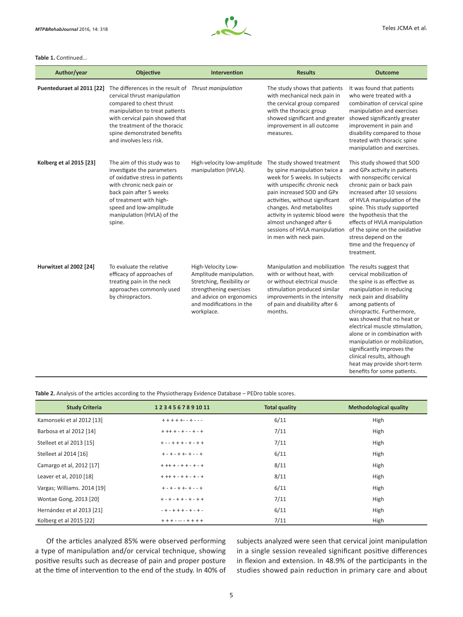

#### **Table 1.** Continued...

| Author/year               | Objective                                                                                                                                                                                                                                                                       | <b>Intervention</b>                                                                                                                                                          | <b>Results</b>                                                                                                                                                                                                                                                                                                                                      | <b>Outcome</b>                                                                                                                                                                                                                                                                                                                                                                                                                 |
|---------------------------|---------------------------------------------------------------------------------------------------------------------------------------------------------------------------------------------------------------------------------------------------------------------------------|------------------------------------------------------------------------------------------------------------------------------------------------------------------------------|-----------------------------------------------------------------------------------------------------------------------------------------------------------------------------------------------------------------------------------------------------------------------------------------------------------------------------------------------------|--------------------------------------------------------------------------------------------------------------------------------------------------------------------------------------------------------------------------------------------------------------------------------------------------------------------------------------------------------------------------------------------------------------------------------|
| Puenteduraet al 2011 [22] | The differences in the result of Thrust manipulation<br>cervical thrust manipulation<br>compared to chest thrust<br>manipulation to treat patients<br>with cervical pain showed that<br>the treatment of the thoracic<br>spine demonstrated benefits<br>and involves less risk. |                                                                                                                                                                              | The study shows that patients<br>with mechanical neck pain in<br>the cervical group compared<br>with the thoracic group<br>showed significant and greater<br>improvement in all outcome<br>measures.                                                                                                                                                | It was found that patients<br>who were treated with a<br>combination of cervical spine<br>manipulation and exercises<br>showed significantly greater<br>improvement in pain and<br>disability compared to those<br>treated with thoracic spine<br>manipulation and exercises.                                                                                                                                                  |
| Kolberg et al 2015 [23]   | The aim of this study was to<br>investigate the parameters<br>of oxidative stress in patients<br>with chronic neck pain or<br>back pain after 5 weeks<br>of treatment with high-<br>speed and low-amplitude<br>manipulation (HVLA) of the<br>spine.                             | High-velocity low-amplitude<br>manipulation (HVLA).                                                                                                                          | The study showed treatment<br>by spine manipulation twice a<br>week for 5 weeks. In subjects<br>with unspecific chronic neck<br>pain increased SOD and GPx<br>activities, without significant<br>changes. And metabolites<br>activity in systemic blood were<br>almost unchanged after 6<br>sessions of HVLA manipulation<br>in men with neck pain. | This study showed that SOD<br>and GPx activity in patients<br>with nonspecific cervical<br>chronic pain or back pain<br>increased after 10 sessions<br>of HVLA manipulation of the<br>spine. This study supported<br>the hypothesis that the<br>effects of HVLA manipulation<br>of the spine on the oxidative<br>stress depend on the<br>time and the frequency of<br>treatment.                                               |
| Hurwitzet al 2002 [24]    | To evaluate the relative<br>efficacy of approaches of<br>treating pain in the neck<br>approaches commonly used<br>by chiropractors.                                                                                                                                             | High-Velocity Low-<br>Amplitude manipulation.<br>Stretching, flexibility or<br>strengthening exercises<br>and advice on ergonomics<br>and modifications in the<br>workplace. | Manipulation and mobilization The results suggest that<br>with or without heat, with<br>or without electrical muscle<br>stimulation produced similar<br>improvements in the intensity<br>of pain and disability after 6<br>months.                                                                                                                  | cervical mobilization of<br>the spine is as effective as<br>manipulation in reducing<br>neck pain and disability<br>among patients of<br>chiropractic. Furthermore,<br>was showed that no heat or<br>electrical muscle stimulation,<br>alone or in combination with<br>manipulation or mobilization,<br>significantly improves the<br>clinical results, although<br>heat may provide short-term<br>benefits for some patients. |

**Table 2.** Analysis of the articles according to the Physiotherapy Evidence Database – PEDro table scores.

| <b>Study Criteria</b>       | 1234567891011           | <b>Total quality</b> | <b>Methodological quality</b> |
|-----------------------------|-------------------------|----------------------|-------------------------------|
| Kamonseki et al 2012 [13]   | $+ + + + + - - + - -$   | 6/11                 | High                          |
| Barbosa et al 2012 [14]     | $+ + + + - + - + - +$   | 7/11                 | High                          |
| Stelleet et al 2013 [15]    | $+ - - + + + - + - + +$ | 7/11                 | High                          |
| Stelleet al 2014 [16]       | $+ - + - + + - + - +$   | 6/11                 | High                          |
| Camargo et al, 2012 [17]    | $+ + + + - + + - + - +$ | 8/11                 | High                          |
| Leaver et al, 2010 [18]     | $+ + + + - + + - + - +$ | 8/11                 | High                          |
| Vargas; Williams. 2014 [19] | $+ - + - + + - + - +$   | 6/11                 | High                          |
| Wontae Gong, 2013 [20]      | $+ - + - + + - + - + +$ | 7/11                 | High                          |
| Hernández et al 2013 [21]   | $-+ - + + + - + - + -$  | 6/11                 | High                          |
| Kolberg et al 2015 [22]     | $+ + + - - - + + + + +$ | 7/11                 | High                          |

Of the articles analyzed 85% were observed performing a type of manipulation and/or cervical technique, showing positive results such as decrease of pain and proper posture at the time of intervention to the end of the study. In 40% of subjects analyzed were seen that cervical joint manipulation in a single session revealed significant positive differences in flexion and extension. In 48.9% of the participants in the studies showed pain reduction in primary care and about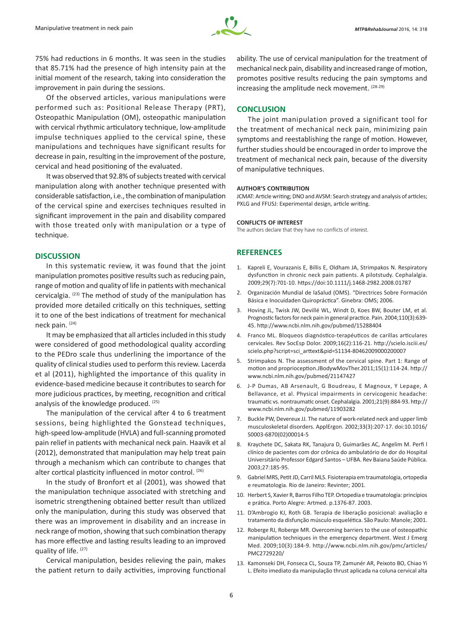

75% had reductions in 6 months. It was seen in the studies that 85.71% had the presence of high intensity pain at the initial moment of the research, taking into consideration the improvement in pain during the sessions.

Of the observed articles, various manipulations were performed such as: Positional Release Therapy (PRT), Osteopathic Manipulation (OM), osteopathic manipulation with cervical rhythmic articulatory technique, low-amplitude impulse techniques applied to the cervical spine, these manipulations and techniques have significant results for decrease in pain, resulting in the improvement of the posture, cervical and head positioning of the evaluated.

It was observed that 92.8% of subjects treated with cervical manipulation along with another technique presented with considerable satisfaction, i.e., the combination of manipulation of the cervical spine and exercises techniques resulted in significant improvement in the pain and disability compared with those treated only with manipulation or a type of technique.

#### **DISCUSSION**

In this systematic review, it was found that the joint manipulation promotes positive results such as reducing pain, range of motion and quality of life in patients with mechanical cervicalgia. (23) The method of study of the manipulation has provided more detailed critically on this techniques, setting it to one of the best indications of treatment for mechanical neck pain. (24)

It may be emphasized that all articles included in this study were considered of good methodological quality according to the PEDro scale thus underlining the importance of the quality of clinical studies used to perform this review. Lacerda et al (2011), highlighted the importance of this quality in evidence-based medicine because it contributes to search for more judicious practices, by meeting, recognition and critical analysis of the knowledge produced. (25)

The manipulation of the cervical after 4 to 6 treatment sessions, being highlighted the Gonstead techniques, high-speed low-amplitude (HVLA) and full-scanning promoted pain relief in patients with mechanical neck pain. Haavik et al (2012), demonstrated that manipulation may help treat pain through a mechanism which can contribute to changes that alter cortical plasticity influenced in motor control. (26)

In the study of Bronfort et al (2001), was showed that the manipulation technique associated with stretching and isometric strengthening obtained better result than utilized only the manipulation, during this study was observed that there was an improvement in disability and an increase in neck range of motion, showing that such combination therapy has more effective and lasting results leading to an improved quality of life. (27)

Cervical manipulation, besides relieving the pain, makes the patient return to daily activities, improving functional

ability. The use of cervical manipulation for the treatment of mechanical neck pain, disability and increased range of motion, promotes positive results reducing the pain symptoms and increasing the amplitude neck movement. (28-29)

#### **CONCLUSION**

The joint manipulation proved a significant tool for the treatment of mechanical neck pain, minimizing pain symptoms and reestablishing the range of motion. However, further studies should be encouraged in order to improve the treatment of mechanical neck pain, because of the diversity of manipulative techniques.

#### **AUTHOR'S CONTRIBUTION**

JCMAT: Article writing; DNO and AVSM: Search strategy and analysis of articles; PXLG and FFUSJ: Experimental design, article writing.

#### **CONFLICTS OF INTEREST**

The authors declare that they have no conflicts of interest.

#### **REFERENCES**

- 1. Kapreli E, Vourazanis E, Billis E, Oldham JA, Strimpakos N. Respiratory dysfunction in chronic neck pain patients. A pilotstudy. Cephalalgia. 2009;29(7):701-10. https://doi:10.1111/j.1468-2982.2008.01787
- 2. Organización Mundial de laSalud (OMS). "Directrices Sobre Formación Básica e Inocuidaden Quiropráctica". Ginebra: OMS; 2006.
- 3. Hoving JL, Twisk JW, Devillé WL, Windt D, Koes BW, Bouter LM, et al. Prognostic factors for neck pain in general practice. Pain. 2004;110(3):639- 45. http://www.ncbi.nlm.nih.gov/pubmed/15288404
- 4. Franco ML. Bloqueos diagnóstico-terapéuticos de carillas articulares cervicales. Rev SocEsp Dolor. 2009;16(2):116-21. http://scielo.isciii.es/ scielo.php?script=sci\_arttext&pid=S1134-80462009000200007
- 5. Strimpakos N. The assessment of the cervical spine. Part 1: Range of motion and proprioception.JBodywMovTher.2011;15(1):114-24. http:// www.ncbi.nlm.nih.gov/pubmed/21147427
- 6. J-P Dumas, AB Arsenault, G Boudreau, E Magnoux, Y Lepage, A Bellavance, et al. Physical impairments in cervicogenic headache: traumatic vs. nontraumatic onset. Cephalalgia. 2001;21(9):884-93. http:// www.ncbi.nlm.nih.gov/pubmed/11903282
- 7. Buckle PW, Devereux JJ. The nature of work-related neck and upper limb musculoskeletal disorders. ApplErgon. 2002;33(3):207-17. doi:10.1016/ S0003-6870(02)00014-5
- 8. Kraychete DC, Sakata RK, Tanajura D, Guimarães AC, Angelim M. Perfi l clínico de pacientes com dor crônica do ambulatório de dor do Hospital Universitário Professor Edgard Santos – UFBA. Rev Baiana Saúde Pública. 2003;27:185-95.
- 9. Gabriel MRS, Petit JD, Carril MLS. Fisioterapia em traumatologia, ortopedia e reumatologia. Rio de Janeiro: Revinter; 2001.
- 10. Herbert S, Xavier R, Barros Filho TEP. Ortopedia e traumatologia: princípios e prática. Porto Alegre: Artmed. p.1376-87. 2003.
- 11. D'Ambrogio KJ, Roth GB. Terapia de liberação posicional: avaliação e tratamento da disfunção músculo esquelética. São Paulo: Manole; 2001.
- 12. Roberge RJ, Roberge MR. Overcoming barriers to the use of osteopathic manipulation techniques in the emergency department. West J Emerg Med. 2009;10(3):184-9. http://www.ncbi.nlm.nih.gov/pmc/articles/ PMC2729220/
- 13. Kamonseki DH, Fonseca CL, Souza TP, Zamunér AR, Peixoto BO, Chiao Yi L. Efeito imediato da manipulação thrust aplicada na coluna cervical alta